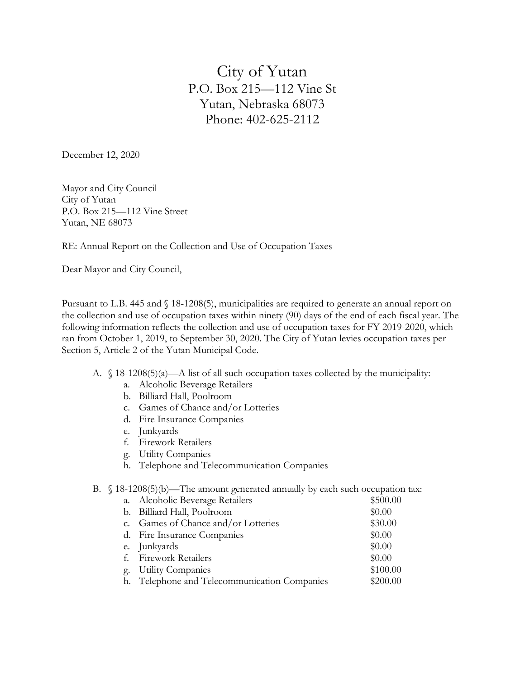City of Yutan P.O. Box 215—112 Vine St Yutan, Nebraska 68073 Phone: 402-625-2112

December 12, 2020

Mayor and City Council City of Yutan P.O. Box 215—112 Vine Street Yutan, NE 68073

RE: Annual Report on the Collection and Use of Occupation Taxes

Dear Mayor and City Council,

Pursuant to L.B. 445 and § 18-1208(5), municipalities are required to generate an annual report on the collection and use of occupation taxes within ninety (90) days of the end of each fiscal year. The following information reflects the collection and use of occupation taxes for FY 2019-2020, which ran from October 1, 2019, to September 30, 2020. The City of Yutan levies occupation taxes per Section 5, Article 2 of the Yutan Municipal Code.

- A.  $\oint$  18-1208(5)(a)—A list of all such occupation taxes collected by the municipality:
	- a. Alcoholic Beverage Retailers
	- b. Billiard Hall, Poolroom
	- c. Games of Chance and/or Lotteries
	- d. Fire Insurance Companies
	- e. Junkyards
	- f. Firework Retailers
	- g. Utility Companies
	- h. Telephone and Telecommunication Companies
- B. § 18-1208(5)(b)—The amount generated annually by each such occupation tax:

|    | a. Alcoholic Beverage Retailers              | \$500.00 |
|----|----------------------------------------------|----------|
|    | b. Billiard Hall, Poolroom                   | \$0.00   |
|    | c. Games of Chance and/or Lotteries          | \$30.00  |
|    | d. Fire Insurance Companies                  | \$0.00   |
|    | e. Junkyards                                 | \$0.00   |
|    | f. Firework Retailers                        | \$0.00   |
| g. | <b>Utility Companies</b>                     | \$100.00 |
|    | h. Telephone and Telecommunication Companies | \$200.00 |
|    |                                              |          |